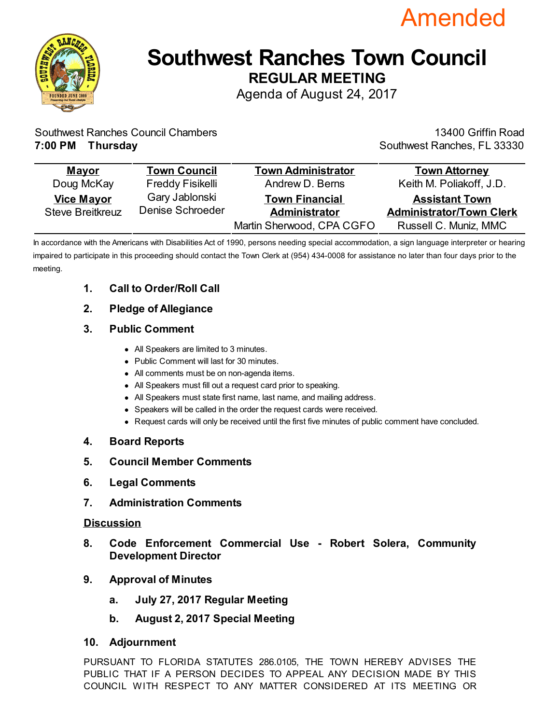



# **Southwest Ranches Town Council REGULAR MEETING**

Agenda of August 24, 2017

Southwest Ranches Council Chambers **7:00 PM Thursday**

13400 Griffin Road Southwest Ranches, FL 33330

| <b>Mayor</b>            | <b>Town Council</b> | <b>Town Administrator</b> | <b>Town Attorney</b>            |
|-------------------------|---------------------|---------------------------|---------------------------------|
| Doug McKay              | Freddy Fisikelli    | Andrew D. Berns           | Keith M. Poliakoff, J.D.        |
| <b>Vice Mayor</b>       | Gary Jablonski      | <b>Town Financial</b>     | <b>Assistant Town</b>           |
| <b>Steve Breitkreuz</b> | Denise Schroeder    | Administrator             | <b>Administrator/Town Clerk</b> |
|                         |                     | Martin Sherwood, CPA CGFO | Russell C. Muniz, MMC           |
|                         |                     |                           |                                 |

In accordance with the Americans with Disabilities Act of 1990, persons needing special accommodation, a sign language interpreter or hearing impaired to participate in this proceeding should contact the Town Clerk at (954) 434-0008 for assistance no later than four days prior to the meeting.

# **1. Call to Order/Roll Call**

### **2. Pledge of Allegiance**

#### **3. Public Comment**

- All Speakers are limited to 3 minutes.
- Public Comment will last for 30 minutes.
- All comments must be on non-agenda items.
- All Speakers must fill out a request card prior to speaking.
- All Speakers must state first name, last name, and mailing address.
- Speakers will be called in the order the request cards were received.
- Request cards will only be received until the first five minutes of public comment have concluded.

#### **4. Board Reports**

- **5. Council Member Comments**
- **6. Legal Comments**
- **7. Administration Comments**

#### **Discussion**

- **8. Code Enforcement Commercial Use Robert Solera, Community Development Director**
- **9. Approval of Minutes**
	- **a. July 27, 2017 Regular Meeting**
	- **b. August 2, 2017 Special Meeting**

#### **10. Adjournment**

PURSUANT TO FLORIDA STATUTES 286.0105, THE TOWN HEREBY ADVISES THE PUBLIC THAT IF A PERSON DECIDES TO APPEAL ANY DECISION MADE BY THIS COUNCIL WITH RESPECT TO ANY MATTER CONSIDERED AT ITS MEETING OR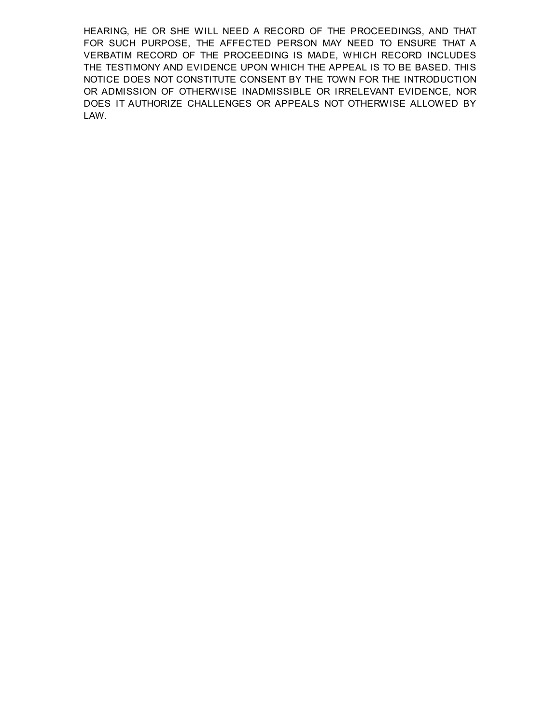HEARING, HE OR SHE WILL NEED A RECORD OF THE PROCEEDINGS, AND THAT FOR SUCH PURPOSE, THE AFFECTED PERSON MAY NEED TO ENSURE THAT A VERBATIM RECORD OF THE PROCEEDING IS MADE, WHICH RECORD INCLUDES THE TESTIMONY AND EVIDENCE UPON WHICH THE APPEAL IS TO BE BASED. THIS NOTICE DOES NOT CONSTITUTE CONSENT BY THE TOWN FOR THE INTRODUCTION OR ADMISSION OF OTHERWISE INADMISSIBLE OR IRRELEVANT EVIDENCE, NOR DOES IT AUTHORIZE CHALLENGES OR APPEALS NOT OTHERWISE ALLOWED BY LAW.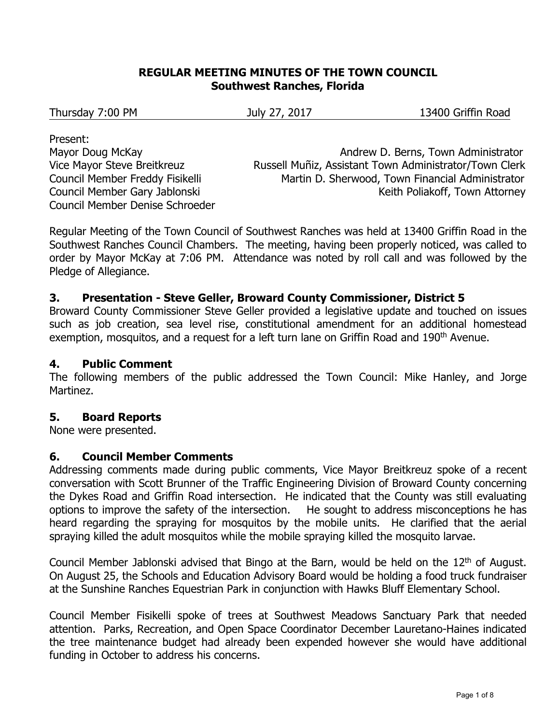# **REGULAR MEETING MINUTES OF THE TOWN COUNCIL Southwest Ranches, Florida**

Thursday 7:00 PM July 27, 2017 13400 Griffin Road

Present: Council Member Denise Schroeder

Mayor Doug McKay **Andrew D. Berns, Town Administrator** Andrew D. Berns, Town Administrator Vice Mayor Steve Breitkreuz **Russell Muñiz, Assistant Town Administrator/Town Clerk** Council Member Freddy Fisikelli Martin D. Sherwood, Town Financial Administrator Council Member Gary Jablonski **Keith Poliakoff**, Town Attorney

Regular Meeting of the Town Council of Southwest Ranches was held at 13400 Griffin Road in the Southwest Ranches Council Chambers. The meeting, having been properly noticed, was called to order by Mayor McKay at 7:06 PM. Attendance was noted by roll call and was followed by the Pledge of Allegiance.

# **3. Presentation - Steve Geller, Broward County Commissioner, District 5**

Broward County Commissioner Steve Geller provided a legislative update and touched on issues such as job creation, sea level rise, constitutional amendment for an additional homestead exemption, mosquitos, and a request for a left turn lane on Griffin Road and 190<sup>th</sup> Avenue.

# **4. Public Comment**

The following members of the public addressed the Town Council: Mike Hanley, and Jorge Martinez.

# **5. Board Reports**

None were presented.

# **6. Council Member Comments**

Addressing comments made during public comments, Vice Mayor Breitkreuz spoke of a recent conversation with Scott Brunner of the Traffic Engineering Division of Broward County concerning the Dykes Road and Griffin Road intersection. He indicated that the County was still evaluating options to improve the safety of the intersection. He sought to address misconceptions he has heard regarding the spraying for mosquitos by the mobile units. He clarified that the aerial spraying killed the adult mosquitos while the mobile spraying killed the mosquito larvae.

Council Member Jablonski advised that Bingo at the Barn, would be held on the  $12<sup>th</sup>$  of August. On August 25, the Schools and Education Advisory Board would be holding a food truck fundraiser at the Sunshine Ranches Equestrian Park in conjunction with Hawks Bluff Elementary School.

Council Member Fisikelli spoke of trees at Southwest Meadows Sanctuary Park that needed attention. Parks, Recreation, and Open Space Coordinator December Lauretano-Haines indicated the tree maintenance budget had already been expended however she would have additional funding in October to address his concerns.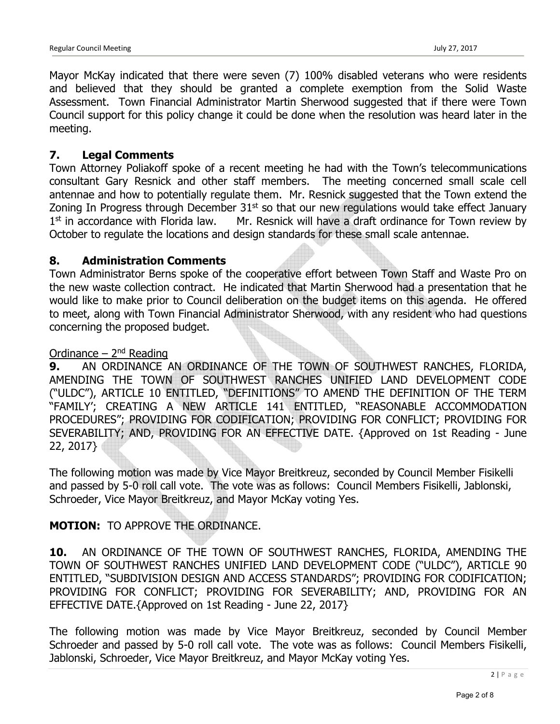Mayor McKay indicated that there were seven (7) 100% disabled veterans who were residents and believed that they should be granted a complete exemption from the Solid Waste Assessment. Town Financial Administrator Martin Sherwood suggested that if there were Town Council support for this policy change it could be done when the resolution was heard later in the meeting.

#### **7. Legal Comments**

Town Attorney Poliakoff spoke of a recent meeting he had with the Town's telecommunications consultant Gary Resnick and other staff members. The meeting concerned small scale cell antennae and how to potentially regulate them. Mr. Resnick suggested that the Town extend the Zoning In Progress through December  $31<sup>st</sup>$  so that our new regulations would take effect January 1<sup>st</sup> in accordance with Florida law. Mr. Resnick will have a draft ordinance for Town review by October to regulate the locations and design standards for these small scale antennae.

#### **8. Administration Comments**

Town Administrator Berns spoke of the cooperative effort between Town Staff and Waste Pro on the new waste collection contract. He indicated that Martin Sherwood had a presentation that he would like to make prior to Council deliberation on the budget items on this agenda. He offered to meet, along with Town Financial Administrator Sherwood, with any resident who had questions concerning the proposed budget.

#### Ordinance –  $2<sup>nd</sup>$  Reading

**9.** AN ORDINANCE AN ORDINANCE OF THE TOWN OF SOUTHWEST RANCHES, FLORIDA, AMENDING THE TOWN OF SOUTHWEST RANCHES UNIFIED LAND DEVELOPMENT CODE ("ULDC"), ARTICLE 10 ENTITLED, "DEFINITIONS" TO AMEND THE DEFINITION OF THE TERM "FAMILY'; CREATING A NEW ARTICLE 141 ENTITLED, "REASONABLE ACCOMMODATION PROCEDURES"; PROVIDING FOR CODIFICATION; PROVIDING FOR CONFLICT; PROVIDING FOR SEVERABILITY; AND, PROVIDING FOR AN EFFECTIVE DATE. {Approved on 1st Reading - June 22, 2017}

The following motion was made by Vice Mayor Breitkreuz, seconded by Council Member Fisikelli and passed by 5-0 roll call vote. The vote was as follows: Council Members Fisikelli, Jablonski, Schroeder, Vice Mayor Breitkreuz, and Mayor McKay voting Yes.

# **MOTION:** TO APPROVE THE ORDINANCE.

**10.** AN ORDINANCE OF THE TOWN OF SOUTHWEST RANCHES, FLORIDA, AMENDING THE TOWN OF SOUTHWEST RANCHES UNIFIED LAND DEVELOPMENT CODE ("ULDC"), ARTICLE 90 ENTITLED, "SUBDIVISION DESIGN AND ACCESS STANDARDS"; PROVIDING FOR CODIFICATION; PROVIDING FOR CONFLICT; PROVIDING FOR SEVERABILITY; AND, PROVIDING FOR AN EFFECTIVE DATE.{Approved on 1st Reading - June 22, 2017}

The following motion was made by Vice Mayor Breitkreuz, seconded by Council Member Schroeder and passed by 5-0 roll call vote. The vote was as follows: Council Members Fisikelli, Jablonski, Schroeder, Vice Mayor Breitkreuz, and Mayor McKay voting Yes.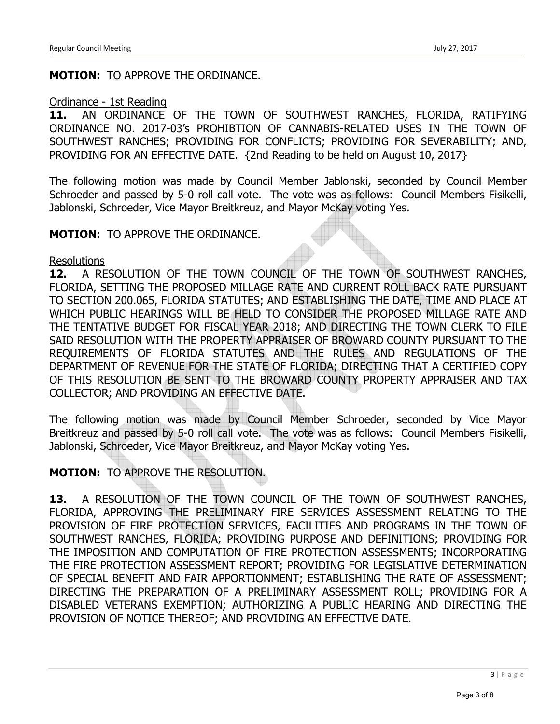#### **MOTION:** TO APPROVE THE ORDINANCE.

#### Ordinance - 1st Reading

**11.** AN ORDINANCE OF THE TOWN OF SOUTHWEST RANCHES, FLORIDA, RATIFYING ORDINANCE NO. 2017-03's PROHIBTION OF CANNABIS-RELATED USES IN THE TOWN OF SOUTHWEST RANCHES; PROVIDING FOR CONFLICTS; PROVIDING FOR SEVERABILITY; AND, PROVIDING FOR AN EFFECTIVE DATE. {2nd Reading to be held on August 10, 2017}

The following motion was made by Council Member Jablonski, seconded by Council Member Schroeder and passed by 5-0 roll call vote. The vote was as follows: Council Members Fisikelli, Jablonski, Schroeder, Vice Mayor Breitkreuz, and Mayor McKay voting Yes.

### **MOTION:** TO APPROVE THE ORDINANCE.

#### Resolutions

**12.** A RESOLUTION OF THE TOWN COUNCIL OF THE TOWN OF SOUTHWEST RANCHES, FLORIDA, SETTING THE PROPOSED MILLAGE RATE AND CURRENT ROLL BACK RATE PURSUANT TO SECTION 200.065, FLORIDA STATUTES; AND ESTABLISHING THE DATE, TIME AND PLACE AT WHICH PUBLIC HEARINGS WILL BE HELD TO CONSIDER THE PROPOSED MILLAGE RATE AND THE TENTATIVE BUDGET FOR FISCAL YEAR 2018; AND DIRECTING THE TOWN CLERK TO FILE SAID RESOLUTION WITH THE PROPERTY APPRAISER OF BROWARD COUNTY PURSUANT TO THE REQUIREMENTS OF FLORIDA STATUTES AND THE RULES AND REGULATIONS OF THE DEPARTMENT OF REVENUE FOR THE STATE OF FLORIDA; DIRECTING THAT A CERTIFIED COPY OF THIS RESOLUTION BE SENT TO THE BROWARD COUNTY PROPERTY APPRAISER AND TAX COLLECTOR; AND PROVIDING AN EFFECTIVE DATE.

The following motion was made by Council Member Schroeder, seconded by Vice Mayor Breitkreuz and passed by 5-0 roll call vote. The vote was as follows: Council Members Fisikelli, Jablonski, Schroeder, Vice Mayor Breitkreuz, and Mayor McKay voting Yes.

# **MOTION:** TO APPROVE THE RESOLUTION.

**13.** A RESOLUTION OF THE TOWN COUNCIL OF THE TOWN OF SOUTHWEST RANCHES, FLORIDA, APPROVING THE PRELIMINARY FIRE SERVICES ASSESSMENT RELATING TO THE PROVISION OF FIRE PROTECTION SERVICES, FACILITIES AND PROGRAMS IN THE TOWN OF SOUTHWEST RANCHES, FLORIDA; PROVIDING PURPOSE AND DEFINITIONS; PROVIDING FOR THE IMPOSITION AND COMPUTATION OF FIRE PROTECTION ASSESSMENTS; INCORPORATING THE FIRE PROTECTION ASSESSMENT REPORT; PROVIDING FOR LEGISLATIVE DETERMINATION OF SPECIAL BENEFIT AND FAIR APPORTIONMENT; ESTABLISHING THE RATE OF ASSESSMENT; DIRECTING THE PREPARATION OF A PRELIMINARY ASSESSMENT ROLL; PROVIDING FOR A DISABLED VETERANS EXEMPTION; AUTHORIZING A PUBLIC HEARING AND DIRECTING THE PROVISION OF NOTICE THEREOF; AND PROVIDING AN EFFECTIVE DATE.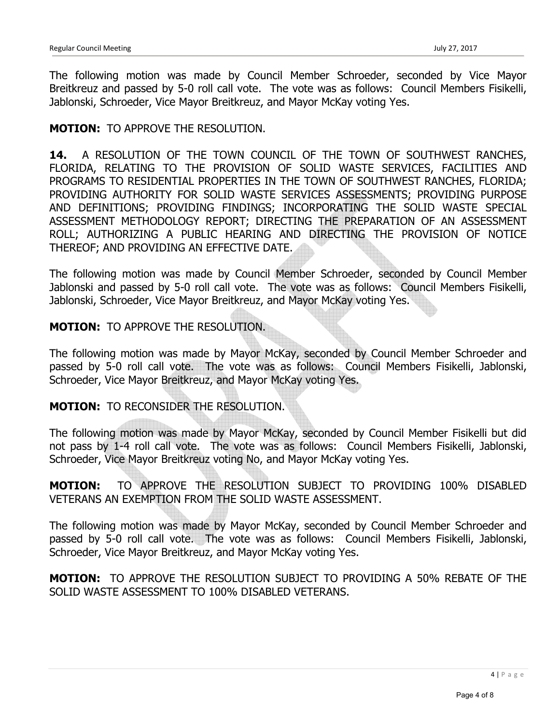The following motion was made by Council Member Schroeder, seconded by Vice Mayor Breitkreuz and passed by 5-0 roll call vote. The vote was as follows: Council Members Fisikelli, Jablonski, Schroeder, Vice Mayor Breitkreuz, and Mayor McKay voting Yes.

# **MOTION:** TO APPROVE THE RESOLUTION.

**14.** A RESOLUTION OF THE TOWN COUNCIL OF THE TOWN OF SOUTHWEST RANCHES, FLORIDA, RELATING TO THE PROVISION OF SOLID WASTE SERVICES, FACILITIES AND PROGRAMS TO RESIDENTIAL PROPERTIES IN THE TOWN OF SOUTHWEST RANCHES, FLORIDA; PROVIDING AUTHORITY FOR SOLID WASTE SERVICES ASSESSMENTS; PROVIDING PURPOSE AND DEFINITIONS; PROVIDING FINDINGS; INCORPORATING THE SOLID WASTE SPECIAL ASSESSMENT METHODOLOGY REPORT; DIRECTING THE PREPARATION OF AN ASSESSMENT ROLL; AUTHORIZING A PUBLIC HEARING AND DIRECTING THE PROVISION OF NOTICE THEREOF; AND PROVIDING AN EFFECTIVE DATE.

The following motion was made by Council Member Schroeder, seconded by Council Member Jablonski and passed by 5-0 roll call vote. The vote was as follows: Council Members Fisikelli, Jablonski, Schroeder, Vice Mayor Breitkreuz, and Mayor McKay voting Yes.

### **MOTION:** TO APPROVE THE RESOLUTION.

The following motion was made by Mayor McKay, seconded by Council Member Schroeder and passed by 5-0 roll call vote. The vote was as follows: Council Members Fisikelli, Jablonski, Schroeder, Vice Mayor Breitkreuz, and Mayor McKay voting Yes.

#### **MOTION:** TO RECONSIDER THE RESOLUTION.

The following motion was made by Mayor McKay, seconded by Council Member Fisikelli but did not pass by 1-4 roll call vote. The vote was as follows: Council Members Fisikelli, Jablonski, Schroeder, Vice Mayor Breitkreuz voting No, and Mayor McKay voting Yes.

**MOTION:** TO APPROVE THE RESOLUTION SUBJECT TO PROVIDING 100% DISABLED VETERANS AN EXEMPTION FROM THE SOLID WASTE ASSESSMENT.

The following motion was made by Mayor McKay, seconded by Council Member Schroeder and passed by 5-0 roll call vote. The vote was as follows: Council Members Fisikelli, Jablonski, Schroeder, Vice Mayor Breitkreuz, and Mayor McKay voting Yes.

**MOTION:** TO APPROVE THE RESOLUTION SUBJECT TO PROVIDING A 50% REBATE OF THE SOLID WASTE ASSESSMENT TO 100% DISABLED VETERANS.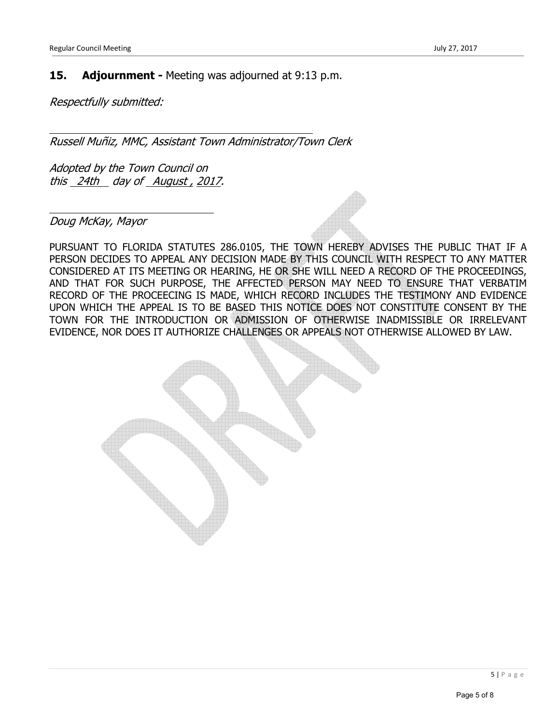$\overline{a}$ 

 $\overline{a}$ 

# **15. Adjournment -** Meeting was adjourned at 9:13 p.m.

Respectfully submitted:

Russell Muñiz, MMC, Assistant Town Administrator/Town Clerk

Adopted by the Town Council on this 24th day of August, 2017.

Doug McKay, Mayor

PURSUANT TO FLORIDA STATUTES 286.0105, THE TOWN HEREBY ADVISES THE PUBLIC THAT IF A PERSON DECIDES TO APPEAL ANY DECISION MADE BY THIS COUNCIL WITH RESPECT TO ANY MATTER CONSIDERED AT ITS MEETING OR HEARING, HE OR SHE WILL NEED A RECORD OF THE PROCEEDINGS, AND THAT FOR SUCH PURPOSE, THE AFFECTED PERSON MAY NEED TO ENSURE THAT VERBATIM RECORD OF THE PROCEECING IS MADE, WHICH RECORD INCLUDES THE TESTIMONY AND EVIDENCE UPON WHICH THE APPEAL IS TO BE BASED THIS NOTICE DOES NOT CONSTITUTE CONSENT BY THE TOWN FOR THE INTRODUCTION OR ADMISSION OF OTHERWISE INADMISSIBLE OR IRRELEVANT EVIDENCE, NOR DOES IT AUTHORIZE CHALLENGES OR APPEALS NOT OTHERWISE ALLOWED BY LAW.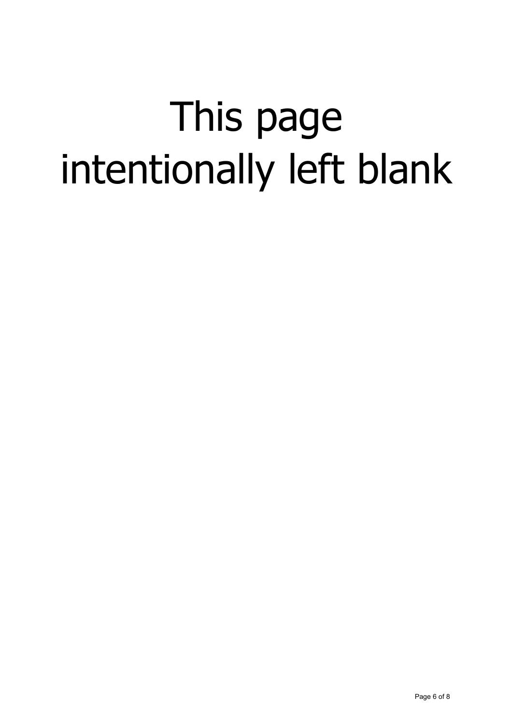# This page intentionally left blank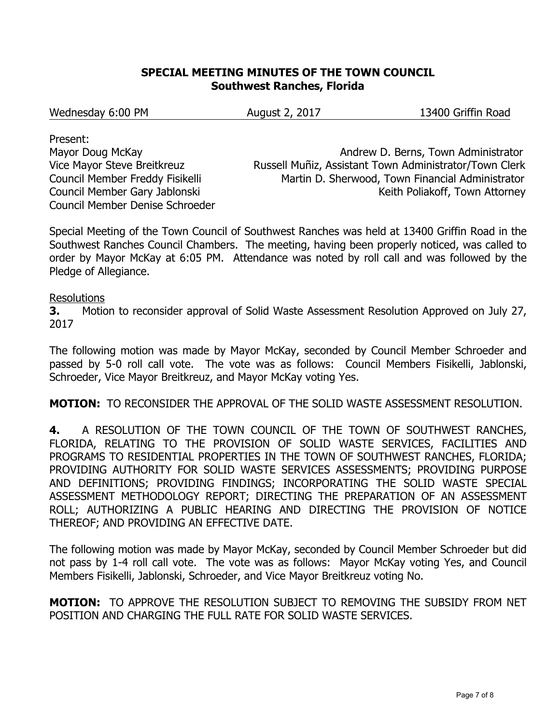### **SPECIAL MEETING MINUTES OF THE TOWN COUNCIL Southwest Ranches, Florida**

Wednesday 6:00 PM **August 2, 2017** 13400 Griffin Road

Present: Council Member Denise Schroeder

Mayor Doug McKay **Andrew D. Berns, Town Administrator** Andrew D. Berns, Town Administrator Vice Mayor Steve Breitkreuz **Russell Muñiz, Assistant Town Administrator/Town Clerk** Council Member Freddy Fisikelli Martin D. Sherwood, Town Financial Administrator Council Member Gary Jablonski **Keith Poliakoff**, Town Attorney

Special Meeting of the Town Council of Southwest Ranches was held at 13400 Griffin Road in the Southwest Ranches Council Chambers. The meeting, having been properly noticed, was called to order by Mayor McKay at 6:05 PM. Attendance was noted by roll call and was followed by the Pledge of Allegiance.

### Resolutions

**3.** Motion to reconsider approval of Solid Waste Assessment Resolution Approved on July 27, 2017

The following motion was made by Mayor McKay, seconded by Council Member Schroeder and passed by 5-0 roll call vote. The vote was as follows: Council Members Fisikelli, Jablonski, Schroeder, Vice Mayor Breitkreuz, and Mayor McKay voting Yes.

**MOTION:** TO RECONSIDER THE APPROVAL OF THE SOLID WASTE ASSESSMENT RESOLUTION.

**4.** A RESOLUTION OF THE TOWN COUNCIL OF THE TOWN OF SOUTHWEST RANCHES, FLORIDA, RELATING TO THE PROVISION OF SOLID WASTE SERVICES, FACILITIES AND PROGRAMS TO RESIDENTIAL PROPERTIES IN THE TOWN OF SOUTHWEST RANCHES, FLORIDA; PROVIDING AUTHORITY FOR SOLID WASTE SERVICES ASSESSMENTS; PROVIDING PURPOSE AND DEFINITIONS; PROVIDING FINDINGS; INCORPORATING THE SOLID WASTE SPECIAL ASSESSMENT METHODOLOGY REPORT; DIRECTING THE PREPARATION OF AN ASSESSMENT ROLL; AUTHORIZING A PUBLIC HEARING AND DIRECTING THE PROVISION OF NOTICE THEREOF; AND PROVIDING AN EFFECTIVE DATE.

The following motion was made by Mayor McKay, seconded by Council Member Schroeder but did not pass by 1-4 roll call vote. The vote was as follows: Mayor McKay voting Yes, and Council Members Fisikelli, Jablonski, Schroeder, and Vice Mayor Breitkreuz voting No.

**MOTION:** TO APPROVE THE RESOLUTION SUBJECT TO REMOVING THE SUBSIDY FROM NET POSITION AND CHARGING THE FULL RATE FOR SOLID WASTE SERVICES.